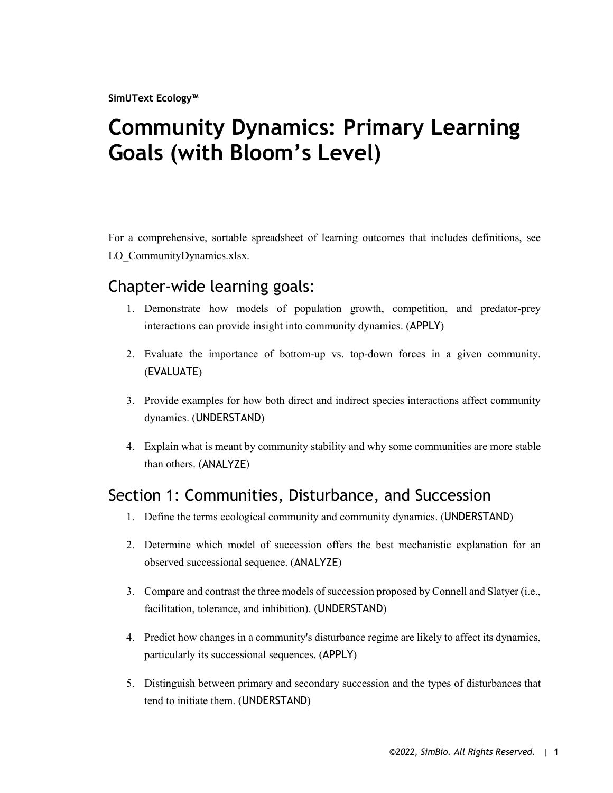**SimUText Ecology™**

# **Community Dynamics: Primary Learning Goals (with Bloom's Level)**

For a comprehensive, sortable spreadsheet of learning outcomes that includes definitions, see LO\_CommunityDynamics.xlsx.

#### Chapter-wide learning goals:

- 1. Demonstrate how models of population growth, competition, and predator-prey interactions can provide insight into community dynamics. (APPLY)
- 2. Evaluate the importance of bottom-up vs. top-down forces in a given community. (EVALUATE)
- 3. Provide examples for how both direct and indirect species interactions affect community dynamics. (UNDERSTAND)
- 4. Explain what is meant by community stability and why some communities are more stable than others. (ANALYZE)

#### Section 1: Communities, Disturbance, and Succession

- 1. Define the terms ecological community and community dynamics. (UNDERSTAND)
- 2. Determine which model of succession offers the best mechanistic explanation for an observed successional sequence. (ANALYZE)
- 3. Compare and contrast the three models of succession proposed by Connell and Slatyer (i.e., facilitation, tolerance, and inhibition). (UNDERSTAND)
- 4. Predict how changes in a community's disturbance regime are likely to affect its dynamics, particularly its successional sequences. (APPLY)
- 5. Distinguish between primary and secondary succession and the types of disturbances that tend to initiate them. (UNDERSTAND)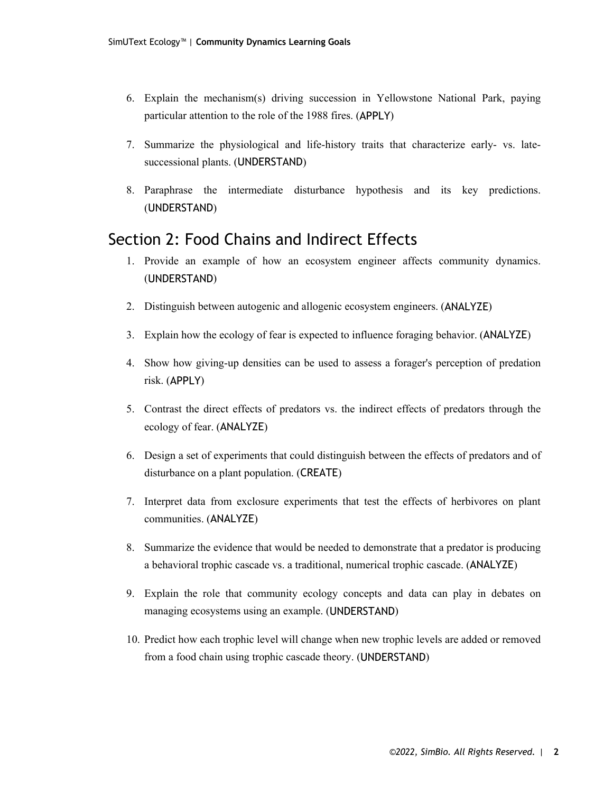- 6. Explain the mechanism(s) driving succession in Yellowstone National Park, paying particular attention to the role of the 1988 fires. (APPLY)
- 7. Summarize the physiological and life-history traits that characterize early- vs. latesuccessional plants. (UNDERSTAND)
- 8. Paraphrase the intermediate disturbance hypothesis and its key predictions. (UNDERSTAND)

#### Section 2: Food Chains and Indirect Effects

- 1. Provide an example of how an ecosystem engineer affects community dynamics. (UNDERSTAND)
- 2. Distinguish between autogenic and allogenic ecosystem engineers. (ANALYZE)
- 3. Explain how the ecology of fear is expected to influence foraging behavior. (ANALYZE)
- 4. Show how giving-up densities can be used to assess a forager's perception of predation risk. (APPLY)
- 5. Contrast the direct effects of predators vs. the indirect effects of predators through the ecology of fear. (ANALYZE)
- 6. Design a set of experiments that could distinguish between the effects of predators and of disturbance on a plant population. (CREATE)
- 7. Interpret data from exclosure experiments that test the effects of herbivores on plant communities. (ANALYZE)
- 8. Summarize the evidence that would be needed to demonstrate that a predator is producing a behavioral trophic cascade vs. a traditional, numerical trophic cascade. (ANALYZE)
- 9. Explain the role that community ecology concepts and data can play in debates on managing ecosystems using an example. (UNDERSTAND)
- 10. Predict how each trophic level will change when new trophic levels are added or removed from a food chain using trophic cascade theory. (UNDERSTAND)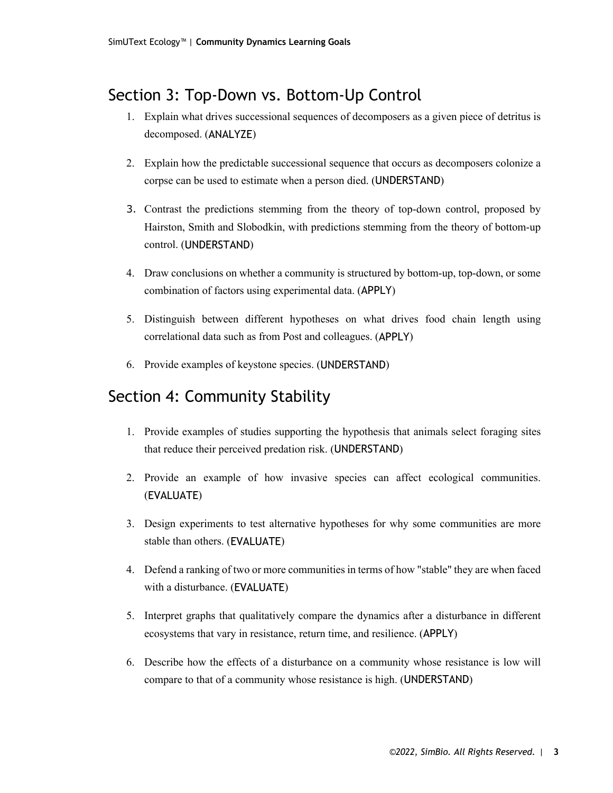## Section 3: Top-Down vs. Bottom-Up Control

- 1. Explain what drives successional sequences of decomposers as a given piece of detritus is decomposed. (ANALYZE)
- 2. Explain how the predictable successional sequence that occurs as decomposers colonize a corpse can be used to estimate when a person died. (UNDERSTAND)
- 3. Contrast the predictions stemming from the theory of top-down control, proposed by Hairston, Smith and Slobodkin, with predictions stemming from the theory of bottom-up control. (UNDERSTAND)
- 4. Draw conclusions on whether a community is structured by bottom-up, top-down, or some combination of factors using experimental data. (APPLY)
- 5. Distinguish between different hypotheses on what drives food chain length using correlational data such as from Post and colleagues. (APPLY)
- 6. Provide examples of keystone species. (UNDERSTAND)

### Section 4: Community Stability

- 1. Provide examples of studies supporting the hypothesis that animals select foraging sites that reduce their perceived predation risk. (UNDERSTAND)
- 2. Provide an example of how invasive species can affect ecological communities. (EVALUATE)
- 3. Design experiments to test alternative hypotheses for why some communities are more stable than others. (EVALUATE)
- 4. Defend a ranking of two or more communities in terms of how "stable" they are when faced with a disturbance. (EVALUATE)
- 5. Interpret graphs that qualitatively compare the dynamics after a disturbance in different ecosystems that vary in resistance, return time, and resilience. (APPLY)
- 6. Describe how the effects of a disturbance on a community whose resistance is low will compare to that of a community whose resistance is high. (UNDERSTAND)